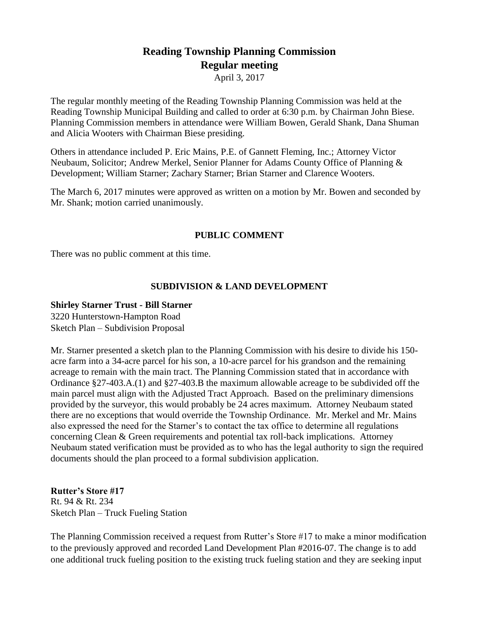# **Reading Township Planning Commission Regular meeting**

April 3, 2017

The regular monthly meeting of the Reading Township Planning Commission was held at the Reading Township Municipal Building and called to order at 6:30 p.m. by Chairman John Biese. Planning Commission members in attendance were William Bowen, Gerald Shank, Dana Shuman and Alicia Wooters with Chairman Biese presiding.

Others in attendance included P. Eric Mains, P.E. of Gannett Fleming, Inc.; Attorney Victor Neubaum, Solicitor; Andrew Merkel, Senior Planner for Adams County Office of Planning & Development; William Starner; Zachary Starner; Brian Starner and Clarence Wooters.

The March 6, 2017 minutes were approved as written on a motion by Mr. Bowen and seconded by Mr. Shank; motion carried unanimously.

# **PUBLIC COMMENT**

There was no public comment at this time.

# **SUBDIVISION & LAND DEVELOPMENT**

# **Shirley Starner Trust - Bill Starner**

3220 Hunterstown-Hampton Road Sketch Plan – Subdivision Proposal

Mr. Starner presented a sketch plan to the Planning Commission with his desire to divide his 150 acre farm into a 34-acre parcel for his son, a 10-acre parcel for his grandson and the remaining acreage to remain with the main tract. The Planning Commission stated that in accordance with Ordinance §27-403.A.(1) and §27-403.B the maximum allowable acreage to be subdivided off the main parcel must align with the Adjusted Tract Approach. Based on the preliminary dimensions provided by the surveyor, this would probably be 24 acres maximum. Attorney Neubaum stated there are no exceptions that would override the Township Ordinance. Mr. Merkel and Mr. Mains also expressed the need for the Starner's to contact the tax office to determine all regulations concerning Clean & Green requirements and potential tax roll-back implications. Attorney Neubaum stated verification must be provided as to who has the legal authority to sign the required documents should the plan proceed to a formal subdivision application.

**Rutter's Store #17** Rt. 94 & Rt. 234 Sketch Plan – Truck Fueling Station

The Planning Commission received a request from Rutter's Store #17 to make a minor modification to the previously approved and recorded Land Development Plan #2016-07. The change is to add one additional truck fueling position to the existing truck fueling station and they are seeking input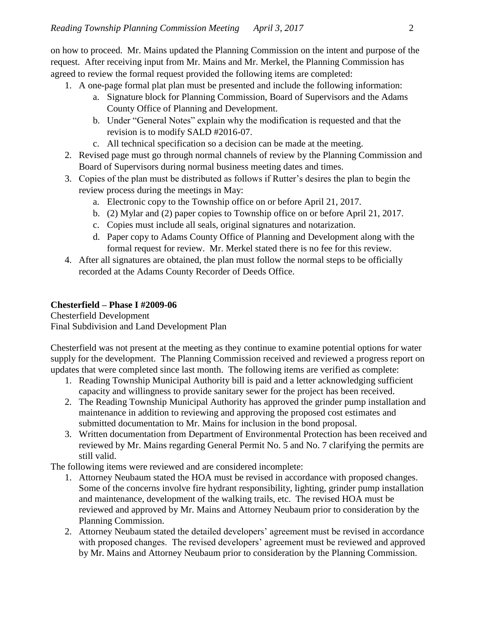on how to proceed. Mr. Mains updated the Planning Commission on the intent and purpose of the request. After receiving input from Mr. Mains and Mr. Merkel, the Planning Commission has agreed to review the formal request provided the following items are completed:

- 1. A one-page formal plat plan must be presented and include the following information:
	- a. Signature block for Planning Commission, Board of Supervisors and the Adams County Office of Planning and Development.
	- b. Under "General Notes" explain why the modification is requested and that the revision is to modify SALD #2016-07.
	- c. All technical specification so a decision can be made at the meeting.
- 2. Revised page must go through normal channels of review by the Planning Commission and Board of Supervisors during normal business meeting dates and times.
- 3. Copies of the plan must be distributed as follows if Rutter's desires the plan to begin the review process during the meetings in May:
	- a. Electronic copy to the Township office on or before April 21, 2017.
	- b. (2) Mylar and (2) paper copies to Township office on or before April 21, 2017.
	- c. Copies must include all seals, original signatures and notarization.
	- d. Paper copy to Adams County Office of Planning and Development along with the formal request for review. Mr. Merkel stated there is no fee for this review.
- 4. After all signatures are obtained, the plan must follow the normal steps to be officially recorded at the Adams County Recorder of Deeds Office.

# **Chesterfield – Phase I #2009-06**

Chesterfield Development Final Subdivision and Land Development Plan

Chesterfield was not present at the meeting as they continue to examine potential options for water supply for the development. The Planning Commission received and reviewed a progress report on updates that were completed since last month. The following items are verified as complete:

- 1. Reading Township Municipal Authority bill is paid and a letter acknowledging sufficient capacity and willingness to provide sanitary sewer for the project has been received.
- 2. The Reading Township Municipal Authority has approved the grinder pump installation and maintenance in addition to reviewing and approving the proposed cost estimates and submitted documentation to Mr. Mains for inclusion in the bond proposal.
- 3. Written documentation from Department of Environmental Protection has been received and reviewed by Mr. Mains regarding General Permit No. 5 and No. 7 clarifying the permits are still valid.

The following items were reviewed and are considered incomplete:

- 1. Attorney Neubaum stated the HOA must be revised in accordance with proposed changes. Some of the concerns involve fire hydrant responsibility, lighting, grinder pump installation and maintenance, development of the walking trails, etc. The revised HOA must be reviewed and approved by Mr. Mains and Attorney Neubaum prior to consideration by the Planning Commission.
- 2. Attorney Neubaum stated the detailed developers' agreement must be revised in accordance with proposed changes. The revised developers' agreement must be reviewed and approved by Mr. Mains and Attorney Neubaum prior to consideration by the Planning Commission.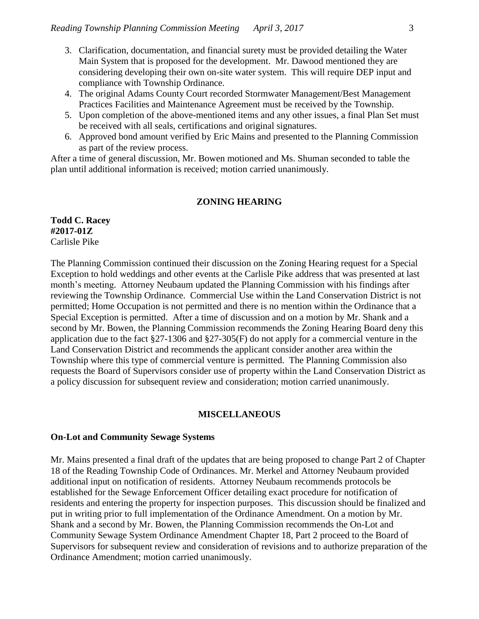- 3. Clarification, documentation, and financial surety must be provided detailing the Water Main System that is proposed for the development. Mr. Dawood mentioned they are considering developing their own on-site water system. This will require DEP input and compliance with Township Ordinance.
- 4. The original Adams County Court recorded Stormwater Management/Best Management Practices Facilities and Maintenance Agreement must be received by the Township.
- 5. Upon completion of the above-mentioned items and any other issues, a final Plan Set must be received with all seals, certifications and original signatures.
- 6. Approved bond amount verified by Eric Mains and presented to the Planning Commission as part of the review process.

After a time of general discussion, Mr. Bowen motioned and Ms. Shuman seconded to table the plan until additional information is received; motion carried unanimously.

#### **ZONING HEARING**

### **Todd C. Racey #2017-01Z** Carlisle Pike

The Planning Commission continued their discussion on the Zoning Hearing request for a Special Exception to hold weddings and other events at the Carlisle Pike address that was presented at last month's meeting. Attorney Neubaum updated the Planning Commission with his findings after reviewing the Township Ordinance. Commercial Use within the Land Conservation District is not permitted; Home Occupation is not permitted and there is no mention within the Ordinance that a Special Exception is permitted. After a time of discussion and on a motion by Mr. Shank and a second by Mr. Bowen, the Planning Commission recommends the Zoning Hearing Board deny this application due to the fact §27-1306 and §27-305(F) do not apply for a commercial venture in the Land Conservation District and recommends the applicant consider another area within the Township where this type of commercial venture is permitted. The Planning Commission also requests the Board of Supervisors consider use of property within the Land Conservation District as a policy discussion for subsequent review and consideration; motion carried unanimously.

### **MISCELLANEOUS**

#### **On-Lot and Community Sewage Systems**

Mr. Mains presented a final draft of the updates that are being proposed to change Part 2 of Chapter 18 of the Reading Township Code of Ordinances. Mr. Merkel and Attorney Neubaum provided additional input on notification of residents. Attorney Neubaum recommends protocols be established for the Sewage Enforcement Officer detailing exact procedure for notification of residents and entering the property for inspection purposes. This discussion should be finalized and put in writing prior to full implementation of the Ordinance Amendment. On a motion by Mr. Shank and a second by Mr. Bowen, the Planning Commission recommends the On-Lot and Community Sewage System Ordinance Amendment Chapter 18, Part 2 proceed to the Board of Supervisors for subsequent review and consideration of revisions and to authorize preparation of the Ordinance Amendment; motion carried unanimously.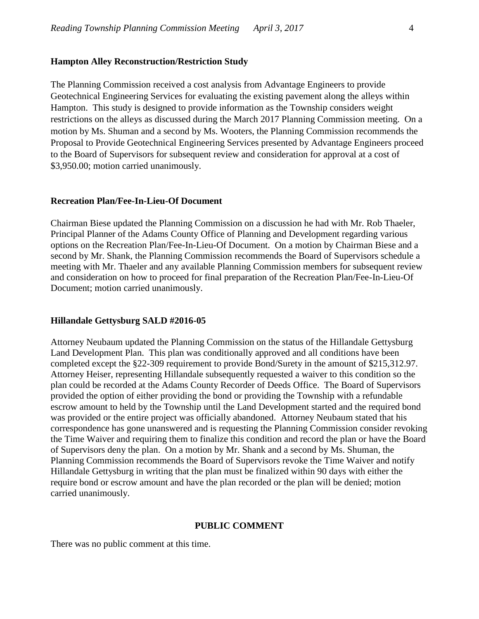### **Hampton Alley Reconstruction/Restriction Study**

The Planning Commission received a cost analysis from Advantage Engineers to provide Geotechnical Engineering Services for evaluating the existing pavement along the alleys within Hampton. This study is designed to provide information as the Township considers weight restrictions on the alleys as discussed during the March 2017 Planning Commission meeting. On a motion by Ms. Shuman and a second by Ms. Wooters, the Planning Commission recommends the Proposal to Provide Geotechnical Engineering Services presented by Advantage Engineers proceed to the Board of Supervisors for subsequent review and consideration for approval at a cost of \$3,950.00; motion carried unanimously.

#### **Recreation Plan/Fee-In-Lieu-Of Document**

Chairman Biese updated the Planning Commission on a discussion he had with Mr. Rob Thaeler, Principal Planner of the Adams County Office of Planning and Development regarding various options on the Recreation Plan/Fee-In-Lieu-Of Document. On a motion by Chairman Biese and a second by Mr. Shank, the Planning Commission recommends the Board of Supervisors schedule a meeting with Mr. Thaeler and any available Planning Commission members for subsequent review and consideration on how to proceed for final preparation of the Recreation Plan/Fee-In-Lieu-Of Document; motion carried unanimously.

#### **Hillandale Gettysburg SALD #2016-05**

Attorney Neubaum updated the Planning Commission on the status of the Hillandale Gettysburg Land Development Plan. This plan was conditionally approved and all conditions have been completed except the §22-309 requirement to provide Bond/Surety in the amount of \$215,312.97. Attorney Heiser, representing Hillandale subsequently requested a waiver to this condition so the plan could be recorded at the Adams County Recorder of Deeds Office. The Board of Supervisors provided the option of either providing the bond or providing the Township with a refundable escrow amount to held by the Township until the Land Development started and the required bond was provided or the entire project was officially abandoned. Attorney Neubaum stated that his correspondence has gone unanswered and is requesting the Planning Commission consider revoking the Time Waiver and requiring them to finalize this condition and record the plan or have the Board of Supervisors deny the plan. On a motion by Mr. Shank and a second by Ms. Shuman, the Planning Commission recommends the Board of Supervisors revoke the Time Waiver and notify Hillandale Gettysburg in writing that the plan must be finalized within 90 days with either the require bond or escrow amount and have the plan recorded or the plan will be denied; motion carried unanimously.

#### **PUBLIC COMMENT**

There was no public comment at this time.